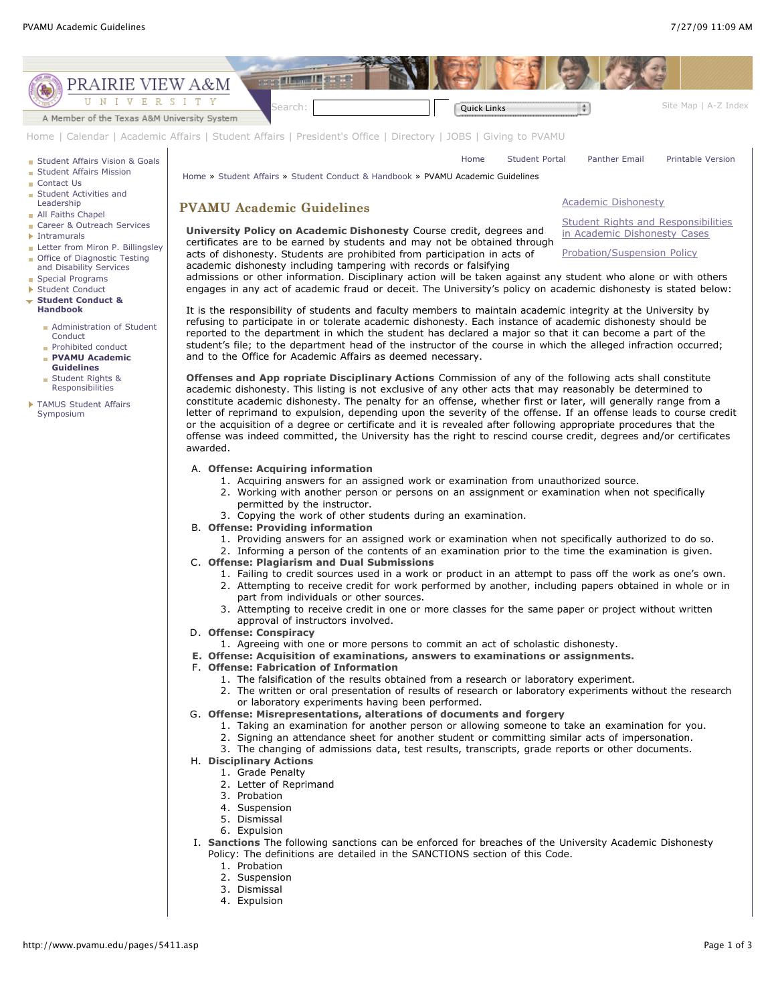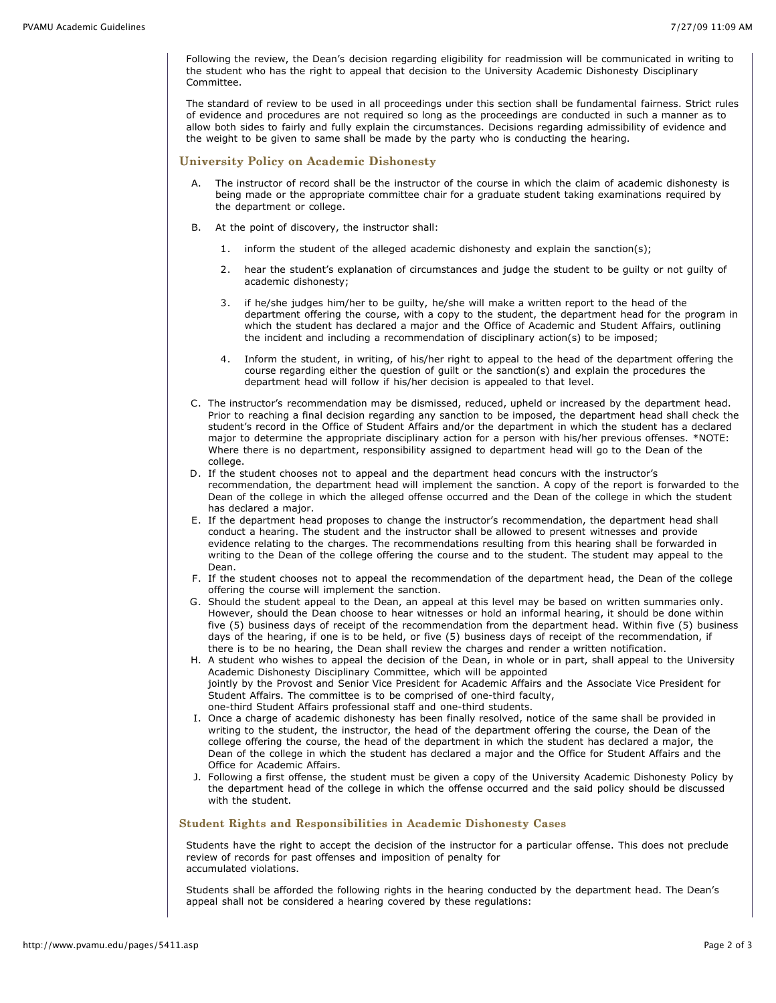Following the review, the Dean's decision regarding eligibility for readmission will be communicated in writing to the student who has the right to appeal that decision to the University Academic Dishonesty Disciplinary Committee.

The standard of review to be used in all proceedings under this section shall be fundamental fairness. Strict rules of evidence and procedures are not required so long as the proceedings are conducted in such a manner as to allow both sides to fairly and fully explain the circumstances. Decisions regarding admissibility of evidence and the weight to be given to same shall be made by the party who is conducting the hearing.

## University Policy on Academic Dishonesty

- The instructor of record shall be the instructor of the course in which the claim of academic dishonesty is being made or the appropriate committee chair for a graduate student taking examinations required by the department or college.
- B. At the point of discovery, the instructor shall:
	- 1. inform the student of the alleged academic dishonesty and explain the sanction(s);
	- 2. hear the student's explanation of circumstances and judge the student to be guilty or not guilty of academic dishonesty;
	- 3. if he/she judges him/her to be guilty, he/she will make a written report to the head of the department offering the course, with a copy to the student, the department head for the program in which the student has declared a major and the Office of Academic and Student Affairs, outlining the incident and including a recommendation of disciplinary action(s) to be imposed;
	- 4. Inform the student, in writing, of his/her right to appeal to the head of the department offering the course regarding either the question of guilt or the sanction(s) and explain the procedures the department head will follow if his/her decision is appealed to that level.
- C. The instructor's recommendation may be dismissed, reduced, upheld or increased by the department head. Prior to reaching a final decision regarding any sanction to be imposed, the department head shall check the student's record in the Office of Student Affairs and/or the department in which the student has a declared major to determine the appropriate disciplinary action for a person with his/her previous offenses. \*NOTE: Where there is no department, responsibility assigned to department head will go to the Dean of the college.
- D. If the student chooses not to appeal and the department head concurs with the instructor's recommendation, the department head will implement the sanction. A copy of the report is forwarded to the Dean of the college in which the alleged offense occurred and the Dean of the college in which the student has declared a major.
- E. If the department head proposes to change the instructor's recommendation, the department head shall conduct a hearing. The student and the instructor shall be allowed to present witnesses and provide evidence relating to the charges. The recommendations resulting from this hearing shall be forwarded in writing to the Dean of the college offering the course and to the student. The student may appeal to the Dean.
- F. If the student chooses not to appeal the recommendation of the department head, the Dean of the college offering the course will implement the sanction.
- G. Should the student appeal to the Dean, an appeal at this level may be based on written summaries only. However, should the Dean choose to hear witnesses or hold an informal hearing, it should be done within five (5) business days of receipt of the recommendation from the department head. Within five (5) business days of the hearing, if one is to be held, or five (5) business days of receipt of the recommendation, if there is to be no hearing, the Dean shall review the charges and render a written notification.
- H. A student who wishes to appeal the decision of the Dean, in whole or in part, shall appeal to the University Academic Dishonesty Disciplinary Committee, which will be appointed jointly by the Provost and Senior Vice President for Academic Affairs and the Associate Vice President for Student Affairs. The committee is to be comprised of one-third faculty, one-third Student Affairs professional staff and one-third students.
- I. Once a charge of academic dishonesty has been finally resolved, notice of the same shall be provided in writing to the student, the instructor, the head of the department offering the course, the Dean of the college offering the course, the head of the department in which the student has declared a major, the Dean of the college in which the student has declared a major and the Office for Student Affairs and the Office for Academic Affairs.
- J. Following a first offense, the student must be given a copy of the University Academic Dishonesty Policy by the department head of the college in which the offense occurred and the said policy should be discussed with the student.

## Student Rights and Responsibilities in Academic Dishonesty Cases

Students have the right to accept the decision of the instructor for a particular offense. This does not preclude review of records for past offenses and imposition of penalty for accumulated violations.

Students shall be afforded the following rights in the hearing conducted by the department head. The Dean's appeal shall not be considered a hearing covered by these regulations: